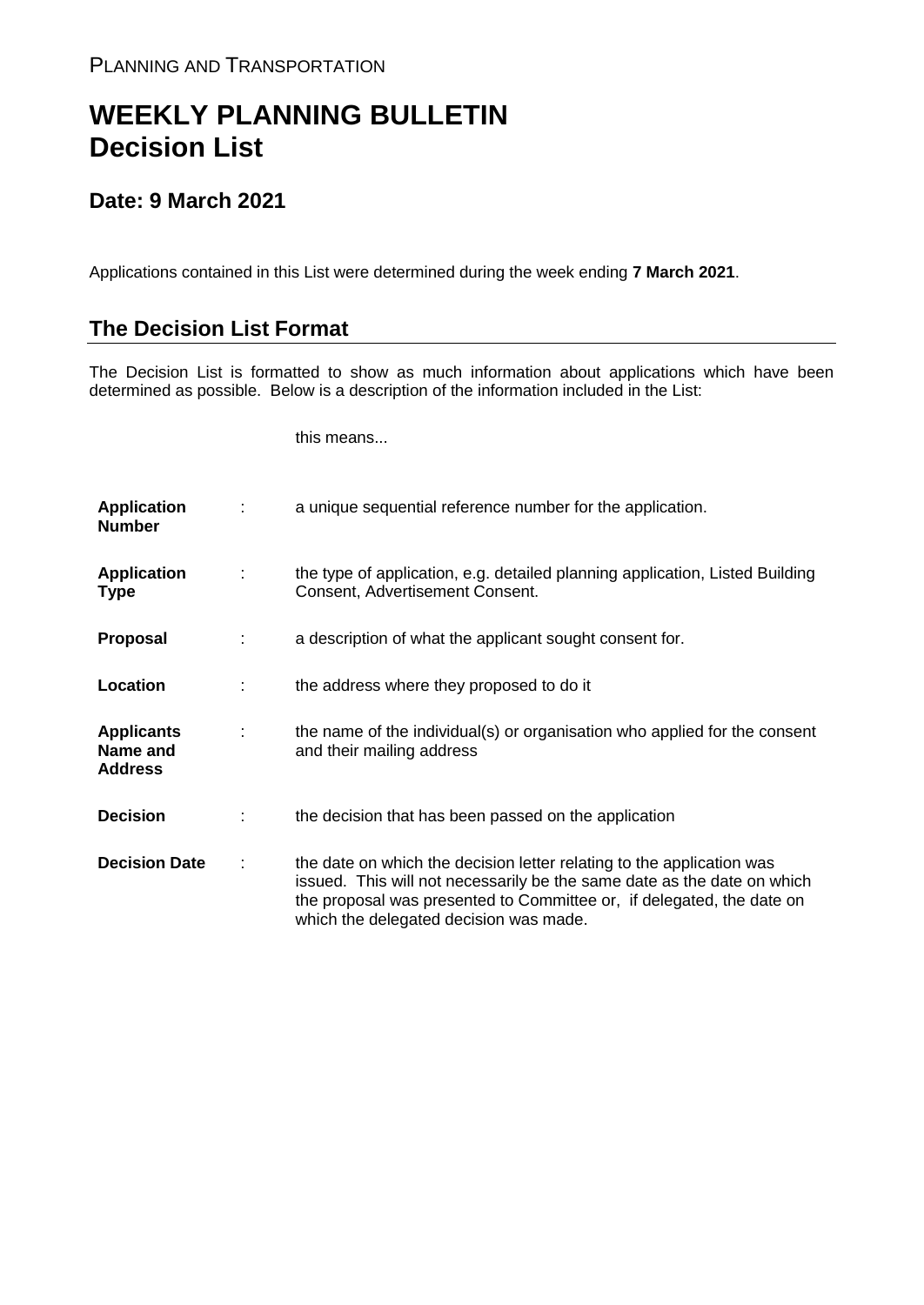## **WEEKLY PLANNING BULLETIN Decision List**

## **Date: 9 March 2021**

Applications contained in this List were determined during the week ending **7 March 2021**.

## **The Decision List Format**

The Decision List is formatted to show as much information about applications which have been determined as possible. Below is a description of the information included in the List:

this means...

| <b>Application</b><br><b>Number</b>             |   | a unique sequential reference number for the application.                                                                                                                                                                                                           |
|-------------------------------------------------|---|---------------------------------------------------------------------------------------------------------------------------------------------------------------------------------------------------------------------------------------------------------------------|
| <b>Application</b><br><b>Type</b>               | ÷ | the type of application, e.g. detailed planning application, Listed Building<br>Consent, Advertisement Consent.                                                                                                                                                     |
| <b>Proposal</b>                                 | ÷ | a description of what the applicant sought consent for.                                                                                                                                                                                                             |
| Location                                        |   | the address where they proposed to do it                                                                                                                                                                                                                            |
| <b>Applicants</b><br>Name and<br><b>Address</b> | ÷ | the name of the individual(s) or organisation who applied for the consent<br>and their mailing address                                                                                                                                                              |
| <b>Decision</b>                                 |   | the decision that has been passed on the application                                                                                                                                                                                                                |
| <b>Decision Date</b>                            | ÷ | the date on which the decision letter relating to the application was<br>issued. This will not necessarily be the same date as the date on which<br>the proposal was presented to Committee or, if delegated, the date on<br>which the delegated decision was made. |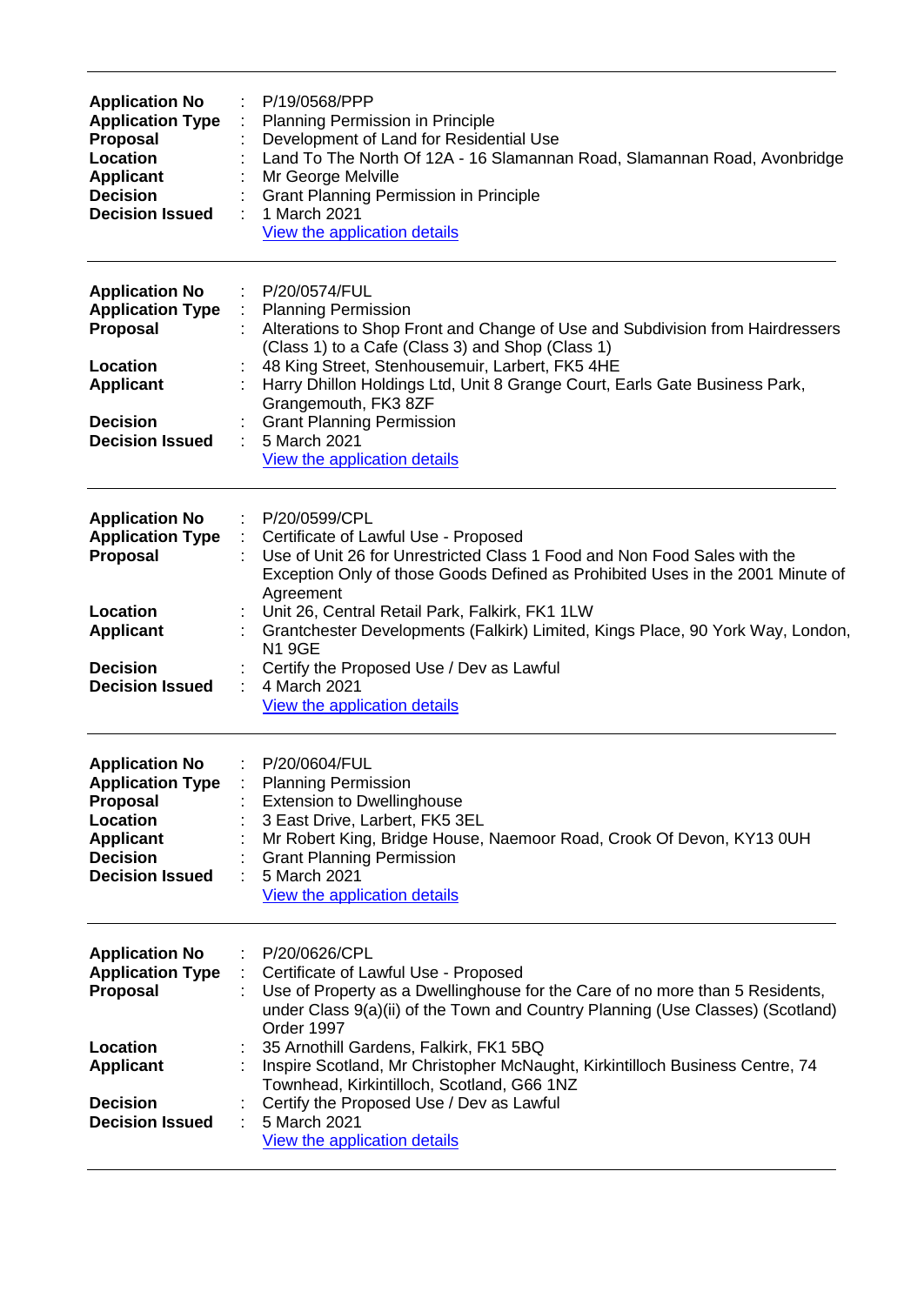| <b>Application No</b><br><b>Application Type</b><br><b>Proposal</b><br>Location<br><b>Applicant</b><br><b>Decision</b><br><b>Decision Issued</b>   | P/19/0568/PPP<br>Planning Permission in Principle<br>Development of Land for Residential Use<br>Land To The North Of 12A - 16 Slamannan Road, Slamannan Road, Avonbridge<br>Mr George Melville<br><b>Grant Planning Permission in Principle</b><br>1 March 2021<br>View the application details                                                                                                                                                                                                                  |
|----------------------------------------------------------------------------------------------------------------------------------------------------|------------------------------------------------------------------------------------------------------------------------------------------------------------------------------------------------------------------------------------------------------------------------------------------------------------------------------------------------------------------------------------------------------------------------------------------------------------------------------------------------------------------|
| <b>Application No</b><br><b>Application Type</b><br><b>Proposal</b><br>Location<br><b>Applicant</b><br><b>Decision</b><br><b>Decision Issued</b>   | P/20/0574/FUL<br><b>Planning Permission</b><br>Alterations to Shop Front and Change of Use and Subdivision from Hairdressers<br>(Class 1) to a Cafe (Class 3) and Shop (Class 1)<br>48 King Street, Stenhousemuir, Larbert, FK5 4HE<br>Harry Dhillon Holdings Ltd, Unit 8 Grange Court, Earls Gate Business Park,<br>Grangemouth, FK3 8ZF<br><b>Grant Planning Permission</b><br>5 March 2021<br>View the application details                                                                                    |
| <b>Application No</b><br><b>Application Type</b><br>Proposal<br>Location<br><b>Applicant</b><br><b>Decision</b><br><b>Decision Issued</b>          | $\mathcal{L}_{\mathrm{max}}$<br>P/20/0599/CPL<br>Certificate of Lawful Use - Proposed<br>Use of Unit 26 for Unrestricted Class 1 Food and Non Food Sales with the<br>Exception Only of those Goods Defined as Prohibited Uses in the 2001 Minute of<br>Agreement<br>Unit 26, Central Retail Park, Falkirk, FK1 1LW<br>Grantchester Developments (Falkirk) Limited, Kings Place, 90 York Way, London,<br><b>N19GE</b><br>Certify the Proposed Use / Dev as Lawful<br>4 March 2021<br>View the application details |
| <b>Application No</b><br><b>Application Type :</b><br><b>Proposal</b><br>Location<br><b>Applicant</b><br><b>Decision</b><br><b>Decision Issued</b> | P/20/0604/FUL<br><b>Planning Permission</b><br><b>Extension to Dwellinghouse</b><br>3 East Drive, Larbert, FK5 3EL<br>Mr Robert King, Bridge House, Naemoor Road, Crook Of Devon, KY13 0UH<br><b>Grant Planning Permission</b><br>5 March 2021<br>View the application details                                                                                                                                                                                                                                   |
| <b>Application No</b><br><b>Application Type</b><br><b>Proposal</b><br>Location<br><b>Applicant</b><br><b>Decision</b><br><b>Decision Issued</b>   | P/20/0626/CPL<br>Certificate of Lawful Use - Proposed<br>Use of Property as a Dwellinghouse for the Care of no more than 5 Residents,<br>under Class 9(a)(ii) of the Town and Country Planning (Use Classes) (Scotland)<br>Order 1997<br>35 Arnothill Gardens, Falkirk, FK1 5BQ<br>Inspire Scotland, Mr Christopher McNaught, Kirkintilloch Business Centre, 74<br>Townhead, Kirkintilloch, Scotland, G66 1NZ<br>Certify the Proposed Use / Dev as Lawful<br>5 March 2021<br>÷<br>View the application details   |